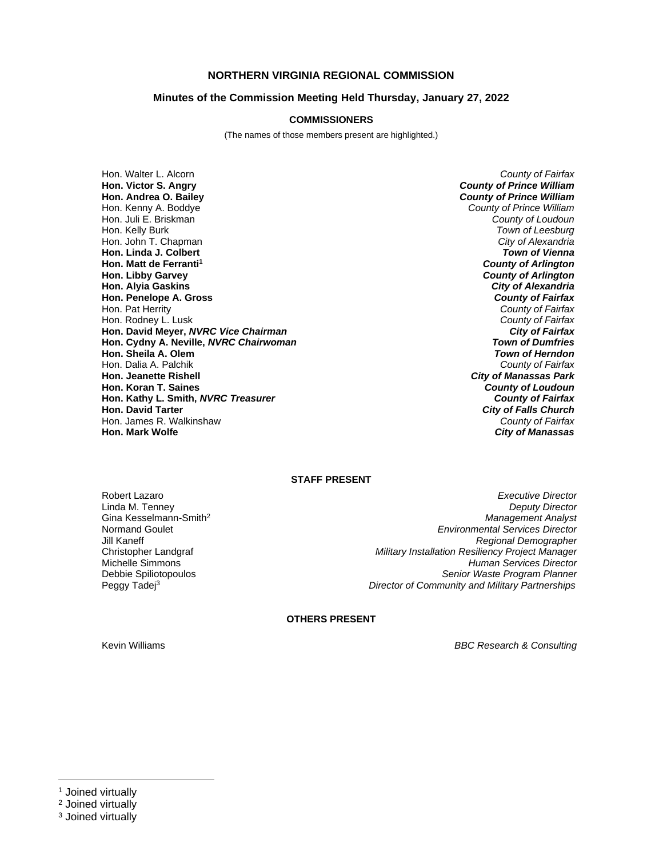# **NORTHERN VIRGINIA REGIONAL COMMISSION**

# **Minutes of the Commission Meeting Held Thursday, January 27, 2022**

# **COMMISSIONERS**

(The names of those members present are highlighted.)

Hon. Walter L. Alcorn *County of Fairfax* **Hon. Victor S. Angry** *County of Prince William* **Hon. Andrea O. Bailey** *County of Prince William* Hon. Kenny A. Boddye *County of Prince William* Hon. Juli E. Briskman *County of Loudoun* Hon. Kelly Burk *Town of Leesburg* Hon. John T. Chapman *City of Alexandria* **Hon. Linda J. Colbert** *Town of Vienna* **Hon. Matt de Ferranti<sup>1</sup><br>Hon. Libby Garvey Hon. Alyia Gaskins** *City of Alexandria* **Hon. Penelope A. Gross** Hon. Pat Herrity *County of Fairfax* Hon. Rodney L. Lusk *County of Fairfax* **Hon. David Meyer,** *NVRC Vice Chairman City of Fairfax* **Hon. Cydny A. Neville,** *NVRC Chairwoman Town of Dumfries* **Hon. Sheila A. Olem** *Town of Herndon* Hon. Dalia A. Palchik<br>**Hon. Jeanette Rishell Hon. Koran T. Saines** *County of Loudoun* **Hon. Kathy L. Smith,** *NVRC Treasurer*<br>**Hon. David Tarter** Hon. James R. Walkinshaw *County of Fairfax* **Hon. Mark Wolfe** *City of Manassas*

**Founty of Arlington<br>City of Alexandria City of Manassas Park**<br>County of Loudoun **City of Falls Church** 

#### **STAFF PRESENT**

Gina Kesselmann-Smith<sup>2</sup><br>Normand Goulet Peggy Tadej<sup>3</sup>

Robert Lazaro *Executive Director* Linda M. Tenney *Deputy Director* **Environmental Services Director** Jill Kaneff *Regional Demographer* Christopher Landgraf *Military Installation Resiliency Project Manager* Michelle Simmons *Human Services Director* Debbie Spiliotopoulos *Senior Waste Program Planner Director of Community and Military Partnerships*

#### **OTHERS PRESENT**

Kevin Williams *BBC Research & Consulting*

<sup>&</sup>lt;sup>1</sup> Joined virtually

<sup>2</sup> Joined virtually

<sup>3</sup> Joined virtually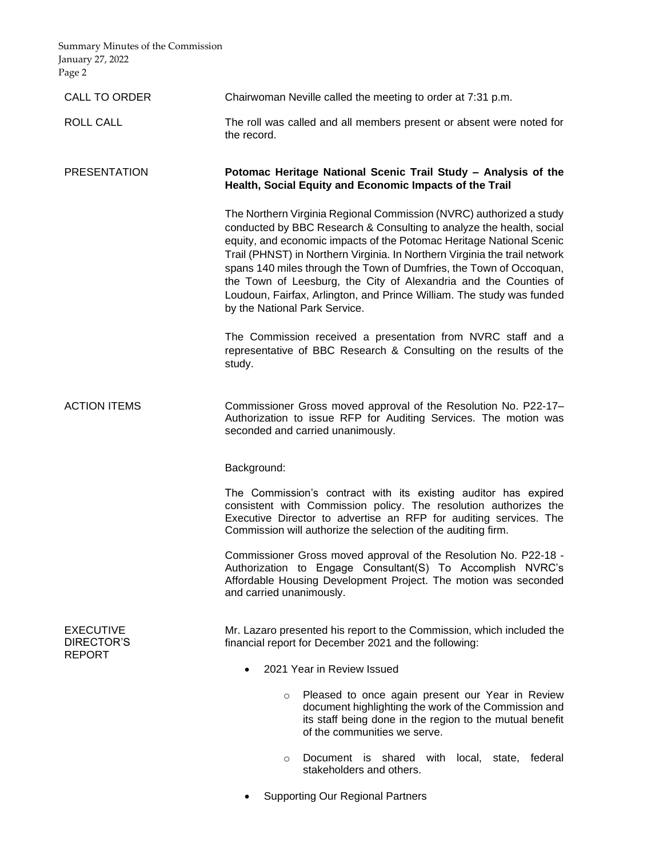Summary Minutes of the Commission January 27, 2022 Page 2

| CALL TO ORDER                                          | Chairwoman Neville called the meeting to order at 7:31 p.m.                                                                                                                                                                                                                                                                                                                                                                                                                                                                                            |
|--------------------------------------------------------|--------------------------------------------------------------------------------------------------------------------------------------------------------------------------------------------------------------------------------------------------------------------------------------------------------------------------------------------------------------------------------------------------------------------------------------------------------------------------------------------------------------------------------------------------------|
| <b>ROLL CALL</b>                                       | The roll was called and all members present or absent were noted for<br>the record.                                                                                                                                                                                                                                                                                                                                                                                                                                                                    |
| <b>PRESENTATION</b>                                    | Potomac Heritage National Scenic Trail Study - Analysis of the<br>Health, Social Equity and Economic Impacts of the Trail                                                                                                                                                                                                                                                                                                                                                                                                                              |
|                                                        | The Northern Virginia Regional Commission (NVRC) authorized a study<br>conducted by BBC Research & Consulting to analyze the health, social<br>equity, and economic impacts of the Potomac Heritage National Scenic<br>Trail (PHNST) in Northern Virginia. In Northern Virginia the trail network<br>spans 140 miles through the Town of Dumfries, the Town of Occoquan,<br>the Town of Leesburg, the City of Alexandria and the Counties of<br>Loudoun, Fairfax, Arlington, and Prince William. The study was funded<br>by the National Park Service. |
|                                                        | The Commission received a presentation from NVRC staff and a<br>representative of BBC Research & Consulting on the results of the<br>study.                                                                                                                                                                                                                                                                                                                                                                                                            |
| <b>ACTION ITEMS</b>                                    | Commissioner Gross moved approval of the Resolution No. P22-17-<br>Authorization to issue RFP for Auditing Services. The motion was<br>seconded and carried unanimously.                                                                                                                                                                                                                                                                                                                                                                               |
|                                                        | Background:                                                                                                                                                                                                                                                                                                                                                                                                                                                                                                                                            |
|                                                        | The Commission's contract with its existing auditor has expired<br>consistent with Commission policy. The resolution authorizes the<br>Executive Director to advertise an RFP for auditing services. The<br>Commission will authorize the selection of the auditing firm.                                                                                                                                                                                                                                                                              |
|                                                        | Commissioner Gross moved approval of the Resolution No. P22-18 -<br>Authorization to Engage Consultant(S) To Accomplish NVRC's<br>Affordable Housing Development Project. The motion was seconded<br>and carried unanimously.                                                                                                                                                                                                                                                                                                                          |
| <b>EXECUTIVE</b><br><b>DIRECTOR'S</b><br><b>REPORT</b> | Mr. Lazaro presented his report to the Commission, which included the<br>financial report for December 2021 and the following:                                                                                                                                                                                                                                                                                                                                                                                                                         |
|                                                        | 2021 Year in Review Issued                                                                                                                                                                                                                                                                                                                                                                                                                                                                                                                             |
|                                                        | Pleased to once again present our Year in Review<br>$\circ$<br>document highlighting the work of the Commission and<br>its staff being done in the region to the mutual benefit<br>of the communities we serve.                                                                                                                                                                                                                                                                                                                                        |
|                                                        | Document is shared with local, state, federal<br>$\circ$<br>stakeholders and others.                                                                                                                                                                                                                                                                                                                                                                                                                                                                   |

• Supporting Our Regional Partners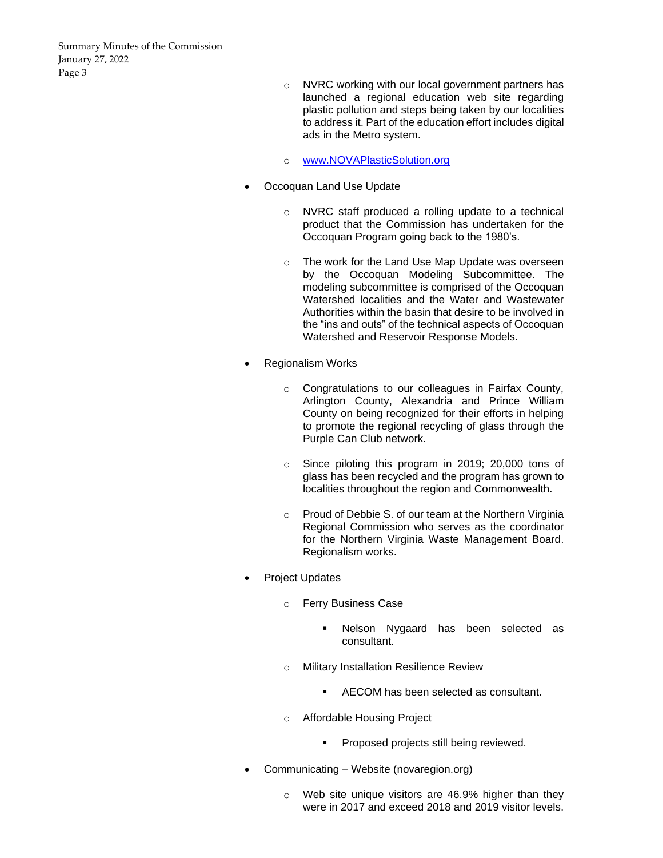Summary Minutes of the Commission January 27, 2022 Page 3

- o NVRC working with our local government partners has launched a regional education web site regarding plastic pollution and steps being taken by our localities to address it. Part of the education effort includes digital ads in the Metro system.
- o [www.NOVAPlasticSolution.org](http://www.novaplasticsolution.org/)
- Occoquan Land Use Update
	- o NVRC staff produced a rolling update to a technical product that the Commission has undertaken for the Occoquan Program going back to the 1980's.
	- o The work for the Land Use Map Update was overseen by the Occoquan Modeling Subcommittee. The modeling subcommittee is comprised of the Occoquan Watershed localities and the Water and Wastewater Authorities within the basin that desire to be involved in the "ins and outs" of the technical aspects of Occoquan Watershed and Reservoir Response Models.
- Regionalism Works
	- o Congratulations to our colleagues in Fairfax County, Arlington County, Alexandria and Prince William County on being recognized for their efforts in helping to promote the regional recycling of glass through the Purple Can Club network.
	- o Since piloting this program in 2019; 20,000 tons of glass has been recycled and the program has grown to localities throughout the region and Commonwealth.
	- o Proud of Debbie S. of our team at the Northern Virginia Regional Commission who serves as the coordinator for the Northern Virginia Waste Management Board. Regionalism works.
- Project Updates
	- o Ferry Business Case
		- Nelson Nygaard has been selected as consultant.
	- o Military Installation Resilience Review
		- AECOM has been selected as consultant.
	- o Affordable Housing Project
		- Proposed projects still being reviewed.
- Communicating Website (novaregion.org)
	- o Web site unique visitors are 46.9% higher than they were in 2017 and exceed 2018 and 2019 visitor levels.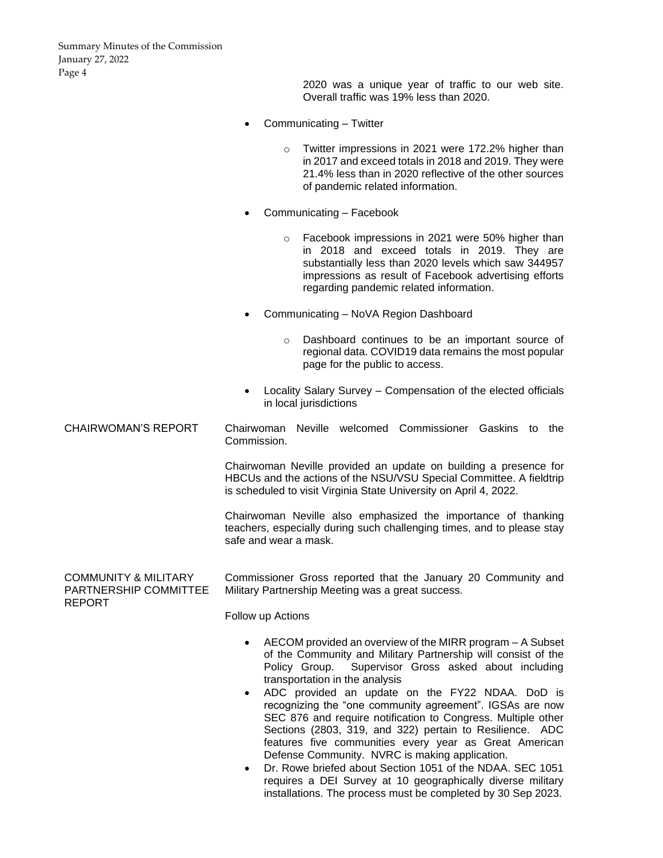Summary Minutes of the Commission January 27, 2022 Page 4

> 2020 was a unique year of traffic to our web site. Overall traffic was 19% less than 2020.

- Communicating Twitter
	- o Twitter impressions in 2021 were 172.2% higher than in 2017 and exceed totals in 2018 and 2019. They were 21.4% less than in 2020 reflective of the other sources of pandemic related information.
- Communicating Facebook
	- o Facebook impressions in 2021 were 50% higher than in 2018 and exceed totals in 2019. They are substantially less than 2020 levels which saw 344957 impressions as result of Facebook advertising efforts regarding pandemic related information.
- Communicating NoVA Region Dashboard
	- o Dashboard continues to be an important source of regional data. COVID19 data remains the most popular page for the public to access.
- Locality Salary Survey Compensation of the elected officials in local jurisdictions

CHAIRWOMAN'S REPORT Chairwoman Neville welcomed Commissioner Gaskins to the Commission.

> Chairwoman Neville provided an update on building a presence for HBCUs and the actions of the NSU/VSU Special Committee. A fieldtrip is scheduled to visit Virginia State University on April 4, 2022.

> Chairwoman Neville also emphasized the importance of thanking teachers, especially during such challenging times, and to please stay safe and wear a mask.

COMMUNITY & MILITARY PARTNERSHIP COMMITTEE REPORT Commissioner Gross reported that the January 20 Community and Military Partnership Meeting was a great success.

Follow up Actions

- AECOM provided an overview of the MIRR program A Subset of the Community and Military Partnership will consist of the Policy Group. Supervisor Gross asked about including transportation in the analysis
- ADC provided an update on the FY22 NDAA. DoD is recognizing the "one community agreement". IGSAs are now SEC 876 and require notification to Congress. Multiple other Sections (2803, 319, and 322) pertain to Resilience. ADC features five communities every year as Great American Defense Community. NVRC is making application.
- Dr. Rowe briefed about Section 1051 of the NDAA. SEC 1051 requires a DEI Survey at 10 geographically diverse military installations. The process must be completed by 30 Sep 2023.